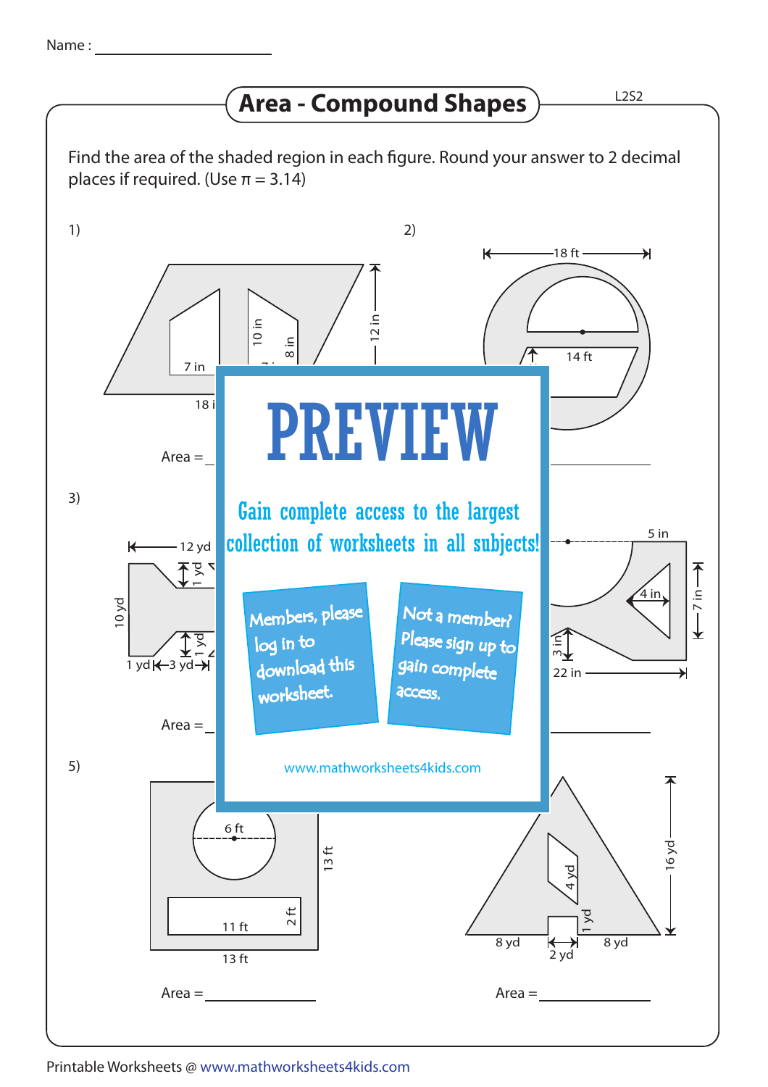## **Area - Compound Shapes**

Find the area of the shaded region in each figure. Round your answer to 2 decimal places if required. (Use  $\pi = 3.14$ )



Printable Worksheets @ www.mathworksheets4kids.com